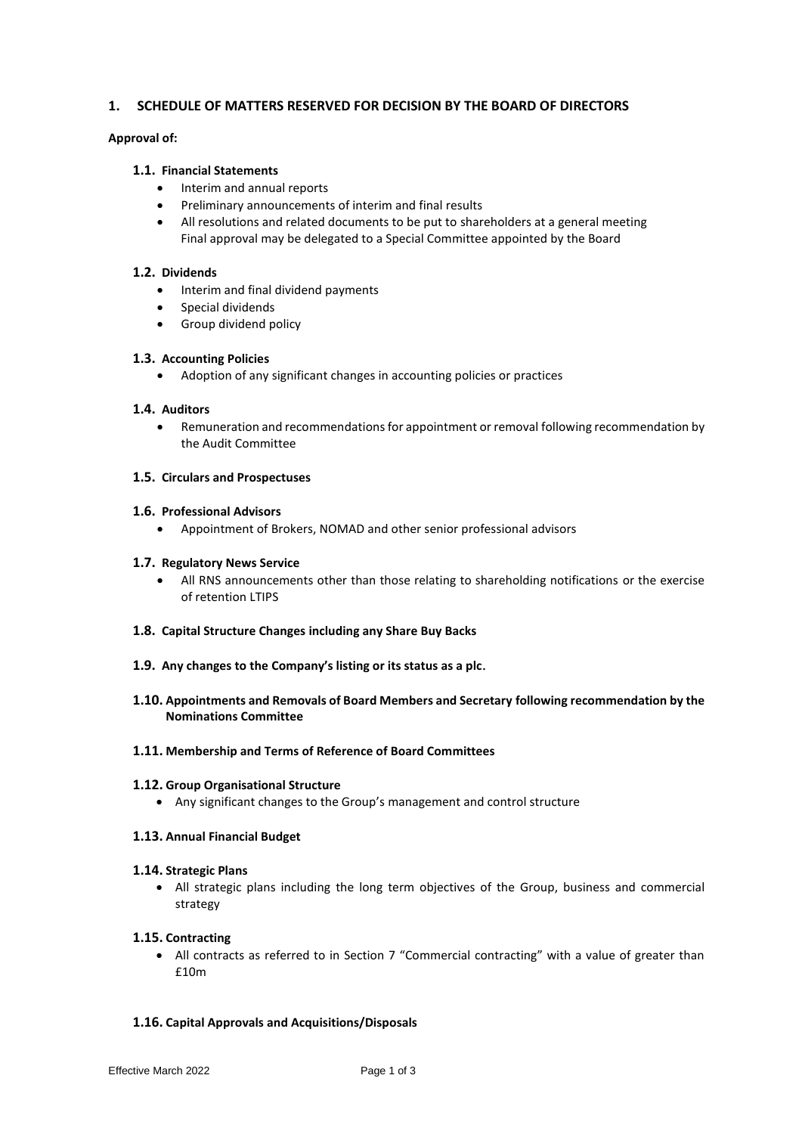## **1. SCHEDULE OF MATTERS RESERVED FOR DECISION BY THE BOARD OF DIRECTORS**

## **Approval of:**

## **1.1. Financial Statements**

- Interim and annual reports
- Preliminary announcements of interim and final results
- All resolutions and related documents to be put to shareholders at a general meeting Final approval may be delegated to a Special Committee appointed by the Board

# **1.2. Dividends**

- Interim and final dividend payments
- Special dividends
- Group dividend policy

## **1.3. Accounting Policies**

• Adoption of any significant changes in accounting policies or practices

# **1.4. Auditors**

• Remuneration and recommendations for appointment or removal following recommendation by the Audit Committee

## **1.5. Circulars and Prospectuses**

## **1.6. Professional Advisors**

• Appointment of Brokers, NOMAD and other senior professional advisors

## **1.7. Regulatory News Service**

- All RNS announcements other than those relating to shareholding notifications or the exercise of retention LTIPS
- **1.8. Capital Structure Changes including any Share Buy Backs**
- **1.9. Any changes to the Company's listing or its status as a plc**.

# **1.10. Appointments and Removals of Board Members and Secretary following recommendation by the Nominations Committee**

## **1.11. Membership and Terms of Reference of Board Committees**

## **1.12. Group Organisational Structure**

• Any significant changes to the Group's management and control structure

## **1.13. Annual Financial Budget**

## **1.14. Strategic Plans**

• All strategic plans including the long term objectives of the Group, business and commercial strategy

## **1.15. Contracting**

• All contracts as referred to in Section 7 "Commercial contracting" with a value of greater than £10m

# **1.16. Capital Approvals and Acquisitions/Disposals**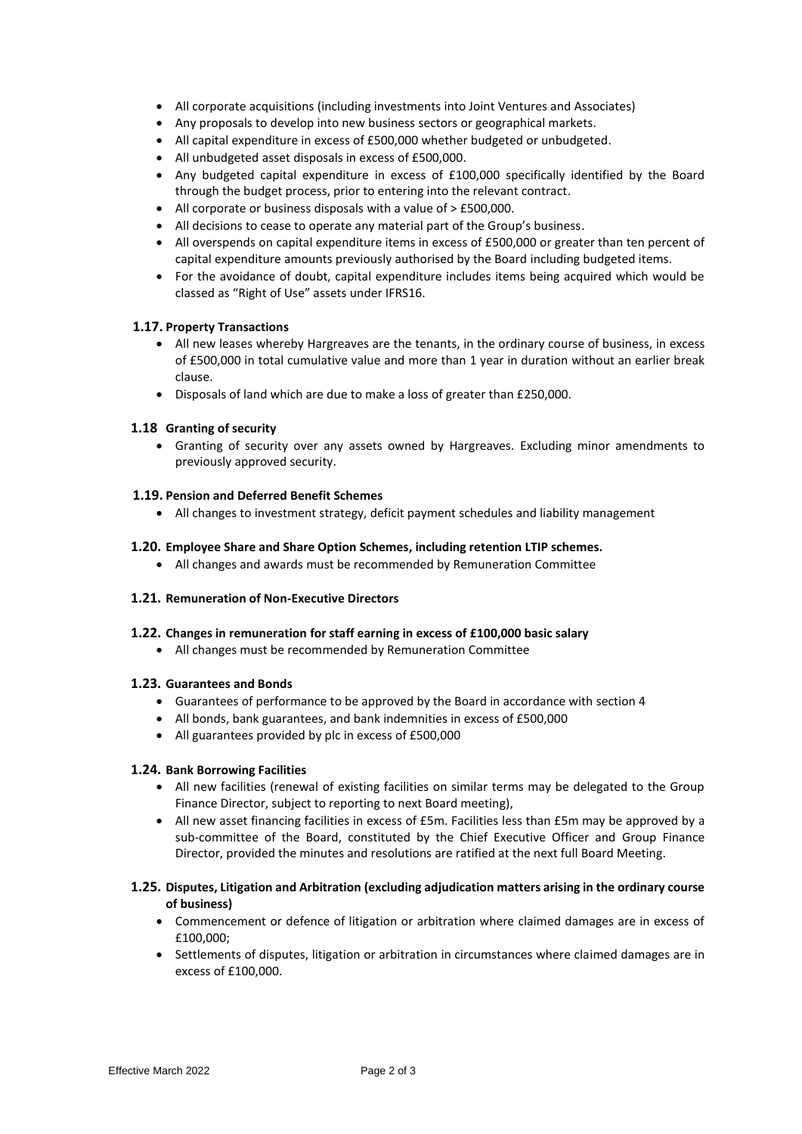- All corporate acquisitions (including investments into Joint Ventures and Associates)
- Any proposals to develop into new business sectors or geographical markets.
- All capital expenditure in excess of £500,000 whether budgeted or unbudgeted.
- All unbudgeted asset disposals in excess of £500,000.
- Any budgeted capital expenditure in excess of £100,000 specifically identified by the Board through the budget process, prior to entering into the relevant contract.
- All corporate or business disposals with a value of > £500,000.
- All decisions to cease to operate any material part of the Group's business.
- All overspends on capital expenditure items in excess of £500,000 or greater than ten percent of capital expenditure amounts previously authorised by the Board including budgeted items.
- For the avoidance of doubt, capital expenditure includes items being acquired which would be classed as "Right of Use" assets under IFRS16.

## **1.17. Property Transactions**

- All new leases whereby Hargreaves are the tenants, in the ordinary course of business, in excess of £500,000 in total cumulative value and more than 1 year in duration without an earlier break clause.
- Disposals of land which are due to make a loss of greater than £250,000.

## **1.18 Granting of security**

• Granting of security over any assets owned by Hargreaves. Excluding minor amendments to previously approved security.

### **1.19. Pension and Deferred Benefit Schemes**

• All changes to investment strategy, deficit payment schedules and liability management

### **1.20. Employee Share and Share Option Schemes, including retention LTIP schemes.**

• All changes and awards must be recommended by Remuneration Committee

## **1.21. Remuneration of Non-Executive Directors**

#### **1.22. Changes in remuneration for staff earning in excess of £100,000 basic salary**

• All changes must be recommended by Remuneration Committee

#### **1.23. Guarantees and Bonds**

- Guarantees of performance to be approved by the Board in accordance with section 4
- All bonds, bank guarantees, and bank indemnities in excess of £500,000
- All guarantees provided by plc in excess of £500,000

#### **1.24. Bank Borrowing Facilities**

- All new facilities (renewal of existing facilities on similar terms may be delegated to the Group Finance Director, subject to reporting to next Board meeting),
- All new asset financing facilities in excess of £5m. Facilities less than £5m may be approved by a sub-committee of the Board, constituted by the Chief Executive Officer and Group Finance Director, provided the minutes and resolutions are ratified at the next full Board Meeting.

## **1.25. Disputes, Litigation and Arbitration (excluding adjudication matters arising in the ordinary course of business)**

- Commencement or defence of litigation or arbitration where claimed damages are in excess of £100,000;
- Settlements of disputes, litigation or arbitration in circumstances where claimed damages are in excess of £100,000.